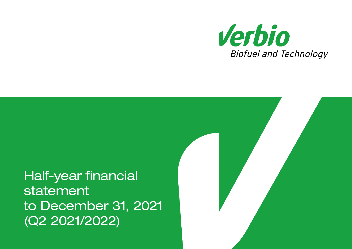

Half-year financial statement to December 31, 2021 (Q2 2021/2022)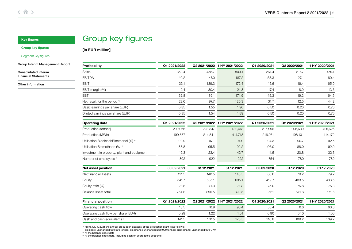## Group key figures

[in EUR million]

#### <span id="page-1-0"></span>Group key figures

## [Segment key figures](#page-2-0)

[Group Interim Management Report](#page-4-0)

[Consolidated Interim](#page-14-0)  Financial Statements

[Other information](#page-29-0)

| Profitability                                      | Q1 2021/2022 |              | Q2 2021/2022 1 HY 2021/2022 | Q1 2020/2021 | Q2 2020/2021 | 1 HY 2020/2021 |
|----------------------------------------------------|--------------|--------------|-----------------------------|--------------|--------------|----------------|
| Sales                                              | 350.4        | 458.7        | 809.1                       | 261.4        | 217.7        | 479.1          |
| <b>EBITDA</b>                                      | 40.2         | 147.0        | 187.2                       | 53.3         | 27.1         | 80.4           |
| <b>EBIT</b>                                        | 33.1         | 139.3        | 172.4                       | 45.6         | 19.4         | 65.0           |
| EBIT-margin (%)                                    | 9.4          | 30.4         | 21.3                        | 17.4         | 8.9          | 13.6           |
| <b>EBT</b>                                         | 32.8         | 139.1        | 171.9                       | 45.3         | 19.2         | 64.5           |
| Net result for the period 4)                       | 22.6         | 97.7         | 120.3                       | 31.7         | 12.5         | 44.2           |
| Basic earnings per share (EUR)                     | 0.35         | 1.55         | 1.90                        | 0.50         | 0.20         | 0.70           |
| Diluted earnings per share (EUR)                   | 0.35         | 1.54         | 1.89                        | 0.50         | 0.20         | 0.70           |
| <b>Operating data</b>                              | Q1 2021/2022 |              | Q2 2021/2022 1 HY 2021/2022 | Q1 2020/2021 | Q2 2020/2021 | 1 HY 2020/2021 |
| Production (tonnes)                                | 209,066      | 223,347      | 432,413                     | 216,996      | 208,630      | 425,626        |
| Production (MWh)                                   | 199,877      | 214,841      | 414.718                     | 216,071      | 198.101      | 414,172        |
| Utilisation Biodiesel/Bioethanol (%) <sup>1)</sup> | 90.9         | 97.1         | 94.0                        | 94.3         | 90.7         | 92.5           |
| Utilisation Biomethane (%) <sup>1)</sup>           | 88.8         | 95.5         | 92.2                        | 96.0         | 88.0         | 92.0           |
| Investment in property, plant and equipment        | 19.3         | 23.4         | 42.7                        | 11.5         | 20.8         | 32.3           |
| Number of employees <sup>2)</sup>                  | 892          | 922          | 922                         | 754          | 780          | 780            |
| <b>Net asset position</b>                          | 30.09.2021   | 31.12.2021   | 31.12.2021                  | 30.09.2020   | 31.12.2020   | 31.12.2020     |
| Net financial assets                               | 111.5        | 140.5        | 140.5                       | 86.6         | 79.2         | 79.2           |
| Equity                                             | 541.7        | 635.1        | 635.1                       | 419.7        | 433.5        | 433.5          |
| Equity ratio (%)                                   | 71.8         | 71.3         | 71.3                        | 75.0         | 75.8         | 75.8           |
| Balance sheet total                                | 754.8        | 890.5        | 890.5                       | 561          | 571.6        | 571.6          |
| <b>Financial position</b>                          | Q1 2021/2022 | Q2 2021/2022 | 1 HY 2021/2022              | Q1 2020/2021 | Q2 2020/2021 | 1 HY 2020/2021 |
| Operating cash flow                                | 18.5         | 76.9         | 95.4                        | 56.4         | 6.6          | 63.0           |
| Operating cash flow per share (EUR)                | 0.29         | 1.22         | 1.51                        | 0.90         | 0.10         | 1.00           |
| Cash and cash equivalents <sup>3)</sup>            | 141.5        | 170.5        | 170.5                       | 116.8        | 109.2        | 109.2          |

<sup>1)</sup> From July 1, 2021 the annual production capacity of the production plant is as follows:

biodiesel: unchanged 660.000 tonnes; bioethanol: unchanged 260.000 tonnes; biomethane: unchanged 900 GWh

2) At the balance sheet date

3) At the balance sheet data, including cash on segregated accounts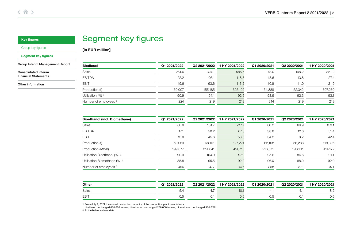## Segment key figures

<span id="page-2-0"></span>[Group key figures](#page-1-0)

#### Segment key figures

[Group Interim Management Report](#page-4-0)

[Consolidated Interim](#page-14-0)  Financial Statements

[Other information](#page-29-0)

| <b>Biodiesel</b>                  | Q1 2021/2022 | Q2 2021/2022 | 1 HY 2021/2022 | Q1 2020/2021 | Q2 2020/2021 | 1 HY 2020/2021 |
|-----------------------------------|--------------|--------------|----------------|--------------|--------------|----------------|
| Sales                             | 261.6        | 324.1        | 585.7          | 173.0        | 148.2        | 321.2          |
| <b>EBITDA</b>                     | 22.2         | 96.1         | 118.3          | 13.6         | 13.8         | 27.4           |
| <b>EBIT</b>                       | 19.6         | 93.6         | 113.2          | 10.9         | 11.0         | 21.9           |
| Production (t)                    | 150.007      | 155.185      | 305.192        | 154.888      | 152.342      | 307,230        |
| Utilisation (%) <sup>1)</sup>     | 90.9         | 94.1         | 92.5           | 93.9         | 92.3         | 93.1           |
| Number of employees <sup>2)</sup> | 224          | 219          | 219            | 214          | 219          | 219            |

| <b>Bioethanol (incl. Biomethane)</b>     | Q1 2021/2022 | Q2 2021/2022 | HY 2021/2022 | Q1 2020/2021 | Q2 2020/2021 | HY 2020/2021 |
|------------------------------------------|--------------|--------------|--------------|--------------|--------------|--------------|
| Sales                                    | 86.0         | 131.7        | 217.7        | 86.2         | 66.9         | 153.1        |
| <b>EBITDA</b>                            | 17.1         | 50.2         | 67.3         | 38.8         | 12.6         | 51.4         |
| <b>EBIT</b>                              | 13.0         | 45.6         | 58.6         | 34.2         | 8.2          | 42.4         |
| Production (t)                           | 59,059       | 68,161       | 127,221      | 62,108       | 56,288       | 118,396      |
| Production (MWh)                         | 199,877      | 214.841      | 414,718      | 216,071      | 198,101      | 414.172      |
| Utilisation Bioethanol (%) <sup>1)</sup> | 90.9         | 104.9        | 97.9         | 95.6         | 86.6         | 91.1         |
| Utilisation Biomethane (%) <sup>1)</sup> | 88.8         | 95.5         | 92.2         | 96.0         | 88.0         | 92.0         |
| Number of employees <sup>2)</sup>        | 456          | 477          | 477          | 358          | 371          | 371          |

| Other       | Q1 2021/2022 | Q2 2021/2022 | 1 HY 2021/2022 | Q1 2020/2021 | Q2 2020/2021 | HY 2020/2021 |
|-------------|--------------|--------------|----------------|--------------|--------------|--------------|
| Sales       |              |              | IU.            |              |              | O.Z          |
| <b>EBIT</b> |              | U.           | υ.t            | U.C          |              | U.C          |

1) From July 1, 2021 the annual production capacity of the production plant is as follows: biodiesel: unchanged 660.000 tonnes; bioethanol: unchanged 260.000 tonnes; biomethane: unchanged 900 GWh

<sup>2)</sup> At the balance sheet date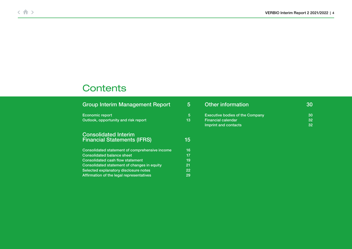# **Contents**

| <b>Group Interim Management Report</b>                            | $\overline{5}$ | Other information                      | 30 |
|-------------------------------------------------------------------|----------------|----------------------------------------|----|
| Economic report                                                   | 5              | <b>Executive bodies of the Company</b> | 30 |
| Outlook, opportunity and risk report                              | 13             | <b>Financial calendar</b>              | 32 |
|                                                                   |                | Imprint and contacts                   | 32 |
| <b>Consolidated Interim</b><br><b>Financial Statements (IFRS)</b> | 15             |                                        |    |
| Consolidated statement of comprehensive income                    | 16             |                                        |    |
| <b>Consolidated balance sheet</b>                                 | 17             |                                        |    |
| Consolidated cash flow statement                                  | 19             |                                        |    |
| Consolidated statement of changes in equity                       | 21             |                                        |    |
| Selected explanatory disclosure notes                             | 22             |                                        |    |
| Affirmation of the legal representatives                          | 29             |                                        |    |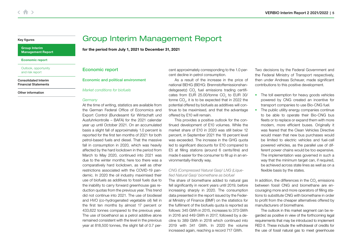### <span id="page-4-0"></span>Group Interim Management Report

Economic report

[Outlook, opportunity](#page-12-0)  and risk report

[Consolidated Interim](#page-14-0)  Financial Statements

[Other information](#page-29-0)

## Group Interim Management Report

for the period from July 1, 2021 to December 31, 2021

## Economic report

#### Economic and political environment

Market conditions for biofuels

#### **Germany**

At the time of writing, statistics are available from the German Federal Office of Economics and Export Control (Bundesamt für Wirtschaft und Ausfuhrkontrolle – BAFA) for the 2021 calendar year up until October 2021. On an accumulated basis a slight fall of approximately 1.0 percent is reported for the first ten months of 2021 for both petrol-based fuels and diesel. That the massive fall in consumption in 2020, which was heavily affected by the hard lockdown in the period from March to May 2020, continued into 2021 was due to the winter months; here too there was a comparatively hard lockdown, as well as other restrictions associated with the COVID-19 pandemic. In 2020 the oil industry maximised their use of biofuels as additives to fossil fuels due to the inability to carry forward greenhouse gas reduction quotas from the previous year. This trend did not continue into 2021. The use of biodiesel and HVO (co-hydrogenated vegetable oil) fell in the first ten months by almost 17 percent or 433,622 tonnes compared to the previous year. The use of bioethanol as a petrol additive alone remained consistent with the level in the previous year at 818,500 tonnes, the slight fall of 0.7 percent approximately corresponding to the 1.0 percent decline in petrol consumption.

As a result of the increase in the price of national BEHG (BEHG: Brennstoffemissionshandelsgesetz) CO<sub>2</sub> fuel emissions trading certificates from EUR 25.00/tonne CO<sub>2</sub> to EUR 30/ tonne CO<sub>2</sub>, it is to be expected that in 2022 the potential offered by biofuels as additives will continue to be maximised, and that the advantage offered by E10 will remain.

This provides a positive outlook for the continued development of E10 volumes. While the market share of E10 in 2020 was still below 12 percent, in September 2021 the 18 percent level was exceeded. The increase in the GHG quota led to significant discounts for E10 compared to E5 at filling stations (around 6 cents/litre) and made it easier for the consumer to fill up in an environmentally-friendly way.

## CNG (Compressed Natural Gas)/ LNG (Liquefied Natural Gas)/ biomethane as biofuel

The share of biomethane added to natural gas fell significantly in recent years until 2019, before increasing sharply in 2020. The consumption data presented in the report issued by the Federal Ministry of Finance (BMF) on the statistics for the fulfilment of the biofuels quota is reported as follows: 345 GWh in 2015, increases to 373 GWh in 2016 and 449 GWh in 2017, followed by a decline to 389 GWh in 2018 which continued into 2019 with 341 GWh. In 2020 the volume increased again, reaching a record 717 GWh.

Two decisions by the Federal Government and the Federal Ministry of Transport respectively, then under Andreas Scheuer, made significant contributions to this positive development.

- The toll exemption for heavy goods vehicles powered by CNG created an incentive for transport companies to use Bio-CNG fuel.
- The public utility energy companies continue to be able to operate their Bio-CNG bus fleets or to replace or expand them with more modern, more efficient buses. Originally it was feared that the Clean Vehicles Directive would mean that new bus purchases would be limited to electric vehicles and fuel-cell powered vehicles, as the parallel use of different power chains would be too expensive. The implementation was governed in such a way that the minimum target can, if required, be achieved across state lines as well as on a flexible basis by the states.

In addition, the differences in the CO<sub>2</sub> emissions between fossil CNG and biomethane are encouraging more and more operators of filling stations to substitute CNG with biomethane in order to profit from the cheaper alternatives offered by manufacturers of biomethane.

The outlook in this market segment can be regarded as positive in view of the forthcoming legal requirements that may be introduced to implement RED II. These include the withdrawal of credits for the use of fossil natural gas to meet greenhouse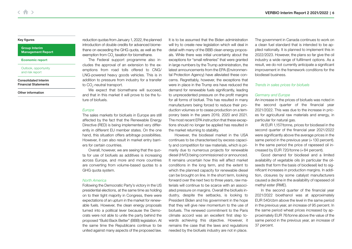#### Group Interim [Management Report](#page-4-0)

#### [Economic report](#page-4-0)

#### [Outlook, opportunity](#page-12-0)  and risk report

[Consolidated Interim](#page-14-0)  Financial Statements

[Other information](#page-29-0)

reduction quotas from January 1, 2022, the planned introduction of double credits for advanced biomethane on exceeding the GHG quota, as well as the exemption from  $\mathrm{CO}_2^{}$  taxation for biomethane.

The Federal support programme also includes the approval of an extension to the exemptions from road tolls offered to CNG/ LNG-powered heavy goods vehicles. This is in addition to pressure from industry for a transfer to CO $_2$ -neutral transport.

We expect that biomethane will succeed. and that in this market it will prove to be the future of biofuels.

#### **Europe**

The sales markets for biofuels in Europe are still affected by the fact that the Renewable Energy Directive (RED) is being implemented very differently in different EU member states. On the one hand, this situation offers arbitrage possibilities. However, it can also result in market entry barriers for certain countries.

Overall, however, we are seeing that the quota for use of biofuels as additives is increasing across Europe, and more and more countries are converting from volume-based quotas to a GHG quota system.

#### North America

Following the Democratic Party's victory in the US presidential elections, at the same time as holding on to their tight majority in Congress, there were expectations of an upturn in the market for renewable fuels. However, the clean energy proposals turned into a political lever because the Democrats were not able to unite the party behind the proposed "Build Back Better" (BBB) legislation. At the same time the Republicans continue to be united against many aspects of the proposed law.

It is to be assumed that the Biden administration will try to create new legislation which will deal in detail with many of the BBB clean energy proposals. While there was initial uncertainty about the exceptions for "small refineries" that were granted in large numbers by the Trump administration, the latest announcements from the EPA (Environmental Protection Agency) have alleviated these concerns. Regrettably, however, the exceptions that were in place in the Trump era have reduced the demand for renewable fuels significantly, leading to unprecedented pressure on the profit margins for all forms of biofuel. This has resulted in many manufacturers being forced to reduce their production volumes or to cease production on a temporary basis in the years 2019, 2020 and 2021. The most recent EPA instruction that these exceptions should no longer be applied has resulted in the market returning to stability.

However, the biodiesel market in the USA continues to be characterised by excess capacity and competition for raw materials, which is primarily due to numerous projects for renewable diesel (HVO) being commissioned or announced. It remains uncertain how this will affect market conditions in the long term, and the extent to which the planned capacity for renewable diesel can be brought on line. In the short term, looking forward over the next two to three years, raw materials will continue to be scarce with an associated pressure on margins. Overall the biofuels industry, despite the setbacks, is looking to President Biden and his government in the hope that they will give new momentum to the use of biofuels. The renewed commitment to the Paris climate accord was an excellent first step towards achieving this objective. However, it remains the case that the laws and regulations needed by the biofuels industry are not in place.

The government in Canada continues to work on a clean fuel standard that is intended to be applied nationally. It is planned to implement this in 2022/2023. However, the plans so far give the oil industry a wide range of fulfilment options. As a result, we do not currently anticipate a significant improvement in the framework conditions for the biodiesel business.

#### Trends in sales prices for biofuels

#### Germany and Europe

An increase in the prices of biofuels was noted in the second quarter of the financial year 2021/2022. This was due to the increase in prices for agricultural raw materials and energy, in particular for natural gas.

At EUR 1,157/tonne, prices for biodiesel in the second quarter of the financial year 2021/2022 were significantly above the average prices in the same period in the previous year (+130 percent). In the same period the price of rapeseed oil increased by EUR 720/tonne (+84 percent).

Good demand for biodiesel and a limited availability of vegetable oils (in particular the oilseeds that form the basis of biodiesel) led to significant increases in production margins. In addition, closures by some catalyst manufacturers caused a decline in the availability of rapeseed oil methyl ester (RME).

In the second quarter of the financial year 2021/2022 bioethanol was at approximately EUR 540/cbm above the level in the same period in the previous year, an increase of 95 percent. In the same period wheat prices increased by approximately EUR 76/tonne above the value of the same period in the previous year, an increase of 37 percent.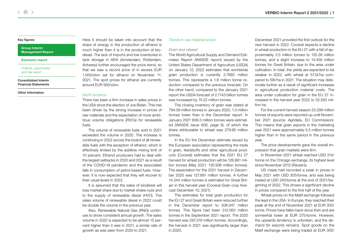#### Group Interim [Management Report](#page-4-0)

#### [Economic report](#page-4-0)

[Outlook, opportunity](#page-12-0)  and risk report

[Consolidated Interim](#page-14-0)  Financial Statements

[Other information](#page-29-0)

Here it should be taken into account that the share of energy in the production of ethanol is much higher than it is in the production of biodiesel. The lack of imports and low inventories in tank storage in ARA (Amsterdam, Rotterdam, Antwerp) further encouraged the price trend, so that we saw a record price of in excess EUR 1,500/cbm set for ethanol on November 11, 2021. The spot prices for ethanol are currently around EUR 950/cbm.

#### North America

There has been a firm increase in sales prices in the USA since the election of Joe Biden. This has been driven by the strong increase in prices of raw materials and the expectation of more ambitious volume obligations (RVOs) for renewable fuels.

The volume of renewable fuels sold in 2021 exceeded the volume in 2020. The increase is continuing in 2022 across the board of all renewable fuels with the exception of ethanol, which is effectively limited by the additive mixing limit of 10 percent. Ethanol producers had to deal with the largest setbacks in 2020 and 2021 as a result of the COVID-19 pandemic and the associated falls in consumption of petrol-based fuels. However, it is now expected that they will recover to their usual levels in 2022.

It is assumed that the sales of biodiesel will lose market share due to market shake-outs and to the supply of renewable diesel (HVO). The sales volume of renewable diesel in 2022 could be double the volume in the previous year.

Also, Renewable Natural Gas (RNG) continues to show consistent annual growth. The sales volume in 2022 is expected to be almost 15 percent higher than it was in 2021, a similar rate of growth as was seen from 2020 to 2021.

## Trends in raw material prices

#### Grain and oilseed

The World Agricultural Supply and Demand Estimates Report (WASDE report) issued by the United States Department of Agriculture (USDA) on January 12, 2022 estimates that worldwide grain production is currently 2.7885 million tonnes. This represents a 1.8 million tonne reduction compared to the previous forecast. On the other hand, compared to the January 2021 report the USDA forecast of 2.7143 billion tonnes was increased by 74.22 million tonnes.

The closing inventory of grain was stated at 794.08 million tonnes in January 2022, 1.5 million tonnes lower than in the December report. In January 2021 806.5 million tonnes were estimated (WASDE issue 608, page 8), of which the share attributable to wheat was 279.95 million tonnes.

In the EU the December estimate issued by the European association representing the trade in grain, feedstuffs and other agricultural products (Coceral) estimates that the 2021 EU 27 harvest for wheat production will be 128.861 million tonnes (May 2021: 130.936 million tonnes). The expectation for the 2021 harvest in December 2020 was 127.891 million tonnes. A further 14.344 million tonnes is estimated for Great Britain in this harvest year (Coceral Grain crop forecast December 10, 2021).

The estimates for total grain production for the EU 27 and Great Britain were reduced further in the December report to 308.047 million tonnes. This figure had been 312.563 million tonnes in the September 2021 report. The 2020 harvest was 297.316 million tonnes. Accordingly, the harvest in 2021 was significantly larger than in 2020.

December 2021 provided the first outlook for the new harvest in 2022. Coceral expects a decline in wheat production in the EU 27 with a fall of approximately 3.5 million tonnes to 125.38 million tonnes, and a slight increase to 14.459 million tonnes for Great Britain, due to the area under cultivation. In total, the yields are expected to be weaker in 2022, with wheat at 57.5t/ha compared to 59t/ha in 2021. The situation may deteriorate further as a result of significant increases in agricultural production material costs. The area under cultivation for grain in the EU 27 increased in the harvest year 2022 to 52.583 million ha.

For the current harvest season 23.299 million tonnes of exports were reported up until November 2021 (source: Agridata, EU Commission). This means that grain exports in the marketing year 2021 were approximately 5.5 million tonnes higher than in the same period in the previous year.

The price developments gave the overall impression that grain markets were firm.

In November 2021 wheat reached USD 314/ tonne on the Chicago exchange, its highest level since November 2012 (Reuters).

US maize had recorded a peak in prices in May 2021 with USD 305/tonne, and was being traded at USD 240/tonne at the end of 2021/beginning of 2022. This shows a significant decline in prices compared to the first half of the year.

Wheat prices on the Matif exchange followed the lead in the USA. In Europe, they reached their peak at the end of November 2021 at EUR 305/ tonne. Prices have fallen back since then and are somewhat lower at EUR 275/tonne. However, the upwards tendency is unbroken, and the demand for exports remains. Spot goods on the Matif exchange were being traded at EUR 300/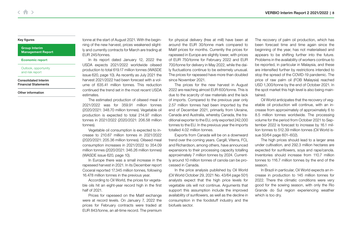#### Group Interim [Management Report](#page-4-0)

[Economic report](#page-4-0)

[Outlook, opportunity](#page-12-0)  and risk report

[Consolidated Interim](#page-14-0)  Financial Statements

[Other information](#page-29-0)

tonne at the start of August 2021. With the beginning of the new harvest, prices weakened slightly and currently contracts for March are trading at EUR 245/tonnes.

In its report dated January 12, 2022 the USDA expects 2021/2022 worldwide oilseed production to total 619.17 million tonnes (WASDE issue 620, page 10). As recently as July 2021 the harvest 2021/2022 had been forecast with a volume of 635.41 million tonnes. This reduction continued the trend set in the most recent USDA estimates.

The estimated production of oilseed meal in 2021/2022 was for 359.91 million tonnes (2020/2021: 348.70 million tonnes). Vegetable oil production is expected to total 214.97 million tonnes in 2021/2022 (2020/2021: 206.58 million tonnes).

Vegetable oil consumption is expected to increase to 210.67 million tonnes in 2021/2022 (2020/2021: 205.36 million tonnes). Oilseed meal consumption increases in 2021/2022 to 354.09 million tonnes (2020/2021: 346.26 million tonnes) (WASDE issue 620, page 10).

In Europe there was a small increase in the rapeseed harvest in 2021. In its December report Coceral reported 17.345 million tonnes, following 16.478 million tonnes in the previous year.

According to Oil World, the prices for vegetable oils hit an eight-year record high in the first half of 2021.

Prices for rapeseed on the Matif exchange were at record levels. On January 7, 2022 the prices for February contracts were traded at EUR 843/tonne, an all-time record. The premium for physical delivery (free at mill) have been at around the EUR 30/tonne mark compared to Matif prices for months. Currently the prices for rapeseed in Europe are slightly lower, with prices of EUR 750/tonne for February 2022 and EUR 700/tonne for delivery in May 2022, while the daily fluctuations continue to be extremely unusual. The prices for rapeseed have more than doubled since November 2021.

The prices for the new harvest in August 2022 are reaching almost EUR 600/tonne. This is due to the scarcity of raw materials and the lack of imports. Compared to the previous year only 2.57 million tonnes had been imported by the end of December 2021, primarily from Ukraine, Canada and Australia, whereby Canada, the traditional exporter to the EU, only exported 242,000 tonnes to the EU. In the previous year the imports totalled 4.02 million tonnes.

Exports from Canada will be on a downward trend over the coming years. Cargill, Viterra, FCL and Richardson, among others, have announced expansions to their processing capacity totalling approximately 7 million tonnes by 2024. Currently around 10 million tonnes of canola can be processed in Canada.

In the price analysis published by Oil World (Oil World October 29, 2021 No. 43/64 page 501) analysts expect that the high price levels for vegetable oils will not continue. Arguments that support this assumption include the improved availability of sunflowers, as well as the decline in consumption in the foodstuff industry and the biofuels sector.

The recovery of palm oil production, which has been forecast time and time again since the beginning of the year, has not materialised and appears to be shifting further into the future. Problems in the availability of workers continue to be reported, in particular in Malaysia, and these are intensified further by restrictions intended to stop the spread of the COVID-19 pandemic. The price of raw palm oil (FOB Malaysia) reached USD 1,300/tonne by the end of October 2021. In the spot market this high level is also being maintained.

Oil World anticipates that the recovery of vegetable oil production will continue, with an increase from approximately of approximately 6 to 8.5 million tonnes worldwide. The processing volume for the period from October 2021 to September 2022 is forecast to increase by 16.1 million tonnes to 512.39 million tonnes (Oil World issue 50/64 page 601–602).

The high prices should lead to a larger area under cultivation, and 292.3 million hectares are expected for sunflowers, soya and rape/canola. Inventories should increase from 110.7 million tonnes to 116.7 million tonnes by the end of the season.

In Brazil in particular, Oil World expects an increase in production to 145 million tonnes for 2022. There the climatic conditions were very good for the sowing season, with only the Rio Grande do Sul region experiencing weather which is too dry.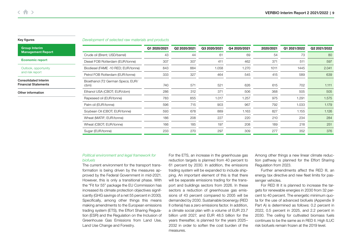#### Development of selected raw materials and products

| <b>Group Interim</b>                                       |                                           | Q1 2020/2021 | Q2 2020/2021 | Q3 2020/2021 | Q4 2020/2021 | 2020/2021 | Q1 2021/2022 | Q2 2021/2022 |
|------------------------------------------------------------|-------------------------------------------|--------------|--------------|--------------|--------------|-----------|--------------|--------------|
| <b>Management Report</b>                                   | Crude oil (Brent; USD/barrel)             | 43           | 44           | 61           | 69           | 54        | 73           | 80           |
| <b>Economic report</b>                                     | Diesel FOB Rotterdam (EUR/tonne)          | 307          | 307          | 411          | 462          | 371       | 511          | 597          |
| Outlook, opportunity                                       | Biodiesel (FAME -10 RED; EUR/tonne)       | 843          | 884          | 1.058        | 1.270        | 1011      | 1445         | 2.041        |
| and risk report                                            | Petrol FOB Rotterdam (EUR/tonne)          | 333          | 327          | 464          | 545          | 415       | 589          | 639          |
| <b>Consolidated Interim</b><br><b>Financial Statements</b> | Bioethanol (T2 German Specs; EUR/<br>cbm) | 740          | 571          | 521          | 626          | 615       | 702          | 1.111        |
| Other information                                          | Ethanol USA (CBOT; EUR/cbm)               | 286          | 312          | 371          | 506          | 368       | 505          | 505          |
|                                                            | Rapeseed oil (EUR/tonne)                  | 783          | 855          | 1.017        | 1.257        | 975       | 1.291        | 1.575        |
|                                                            | Palm oil (EUR/tonne)                      | 596          | 715          | 903          | 967          | 792       | 1.033        | 1.179        |
|                                                            | Soybean Oil (CBOT; EUR/tonne)             | 593          | 678          | 889          | 1.163        | 827       | 1.155        | 1.126        |
|                                                            | Wheat (MATIF; EUR/tonne)                  | 186          | 208          | 227          | 220          | 210       | 234          | 284          |
|                                                            | Wheat (CBOT; EUR/tonne)                   | 166          | 185          | 197          | 208          | 189       | 218          | 251          |
|                                                            | Sugar (EUR/tonne)                         | 233          | 270          | 297          | 309          | 277       | 352          | 376          |

### Political environment and legal framework for biofuels

The current environment for the transport transformation is being driven by the measures approved by the Federal Government in mid-2021. However, this is only a transitional phase. With the "Fit for 55" package the EU Commission has increased its climate protection objectives significantly (GHG savings of a net 55 percent in 2030). Specifically, among other things this means making amendments to the European emissions trading system (ETS), the Effort Sharing Regulation (ESR) and the Regulation on the Inclusion of Greenhouse Gas Emissions from Land Use, Land Use Change and Forestry.

For the ETS, an increase in the greenhouse gas reduction targets is planned from 40 percent to 61 percent by 2030. In addition, the emissions trading system will be expanded to include shipping. An important element of this is that there will be separate emissions trading for the transport and buildings sectors from 2026. In these sectors a reduction of greenhouse gas emissions of 43 percent compared to 2005 will be demanded by 2030. Sustainable bioenergy (RED II criteria) has a zero emissions factor. In addition, a climate social plan with a volume of EUR 23.7 billion until 2027, and EUR 48.5 billion for the years thereafter, is planned for the years 2025– 2032 in order to soften the cost burden of the measures.

Among other things a new linear climate reduction pathway is planned for the Effort Sharing Regulation from 2023.

Further amendments affect the RED III, an energy tax directive and new fleet limits for passenger vehicles.

For RED III it is planned to increase the targets for renewable energies in 2030 from 32 percent to 40 percent. The energetic minimum quota for the use of advanced biofuels (Appendix 9 Part A) is determined as follows: 0.2 percent in 2022, 0.5 percent in 2025, and 2.2 percent in 2030. The ceiling for cultivated biomass fuels continues to be the same as in RED II. High ILUC risk biofuels remain frozen at the 2019 level.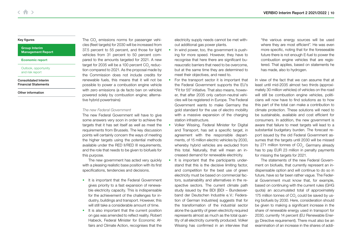#### Group Interim [Management Report](#page-4-0)

#### [Economic report](#page-4-0)

[Outlook, opportunity](#page-12-0)  and risk report

[Consolidated Interim](#page-14-0)  Financial Statements

[Other information](#page-29-0)

The CO<sub>2</sub> emissions norms for passenger vehicles (fleet targets) for 2030 will be increased from 37.5 percent to 55 percent, and those for light vehicles from 31 percent to 50 percent compared to the amounts targeted for 2021. A new target for 2035 will be a 100 percent CO<sub>2</sub> reduction compared to 2021. As the proposal made by the Commission does not include credits for renewable fuels, this means that it will not be possible to power a combustion engine vehicle with zero emissions (a de facto ban on vehicles powered solely by combustion engine; alternative hybrid powertrains)

### The new Federal Government

The new Federal Government will have to give some answers very soon in order to achieve the targets that it has set itself as well as meet the requirements from Brussels. The key discussion points will certainly concern the ways of meeting the higher targets using the potential methods available under the RFD II/RFD III requirements, and the role that needs to be given to biofuels for this purpose.

The new government has acted very quickly with a pleasing realistic base position with its first specifications, tendencies and decisions.

- It is important that the Federal Government gives priority to a fast expansion of renewable electricity capacity. This is indispensable for the achievement of the challenges for industry, buildings and transport. However, this will still take a considerable amount of time.
- It is also important that the current position on gas was amended to reflect reality. Robert Habeck, Federal Minister for Economic Affairs and Climate Action, recognises that the

electricity supply needs cannot be met without additional gas power plants.

- In wind power, too, the government is pushing for more speed. However, they have to recognise that here there are significant bureaucratic barriers that need to be overcome, but at the same time they are determined to meet their objectives, and need to.
- For the transport sector it is important that the Federal Government supports the EU's "Fit for 55" initiative. That also means, however, that after 2035 only carbon-neutral vehicles will be registered in Europe. The Federal Government wants to make Germany the gold standard for the use of electro mobility with a massive expansion of the charging station infrastructure.
- Volker Wissing, Federal Minister for Digital and Transport, has set a specific target, in agreement with the responsible departments, of 15 million electric vehicles by 2030, whereby hybrid vehicles are excluded from this total. Naturally, that will mean an increased demand for renewable electricity.
- It is important that the participants understand that this is the decisive limiting factor, and competition for the best use of green electricity must be based on commercial factors, sustainability and alternatives in the respective sectors. The current climate path study issued by the BDI [BDI – Bundesverband der Deutschen Industrie e.V.: Federation of German Industries] suggests that for the transformation of the industrial sector alone the quantity of green electricity required represents almost as much as the total quantity of all electricity currently produced. Volker Wissing has confirmed in an interview that

"the various energy sources will be used where they are most efficient". He was even more specific, noting that for the foreseeable future there is not enough E-fuel to power the combustion engine vehicles that are registered. That applies, based on statements he has made, also to hydrogen.

In view of the fact that we can assume that at least until mid-2035 almost two thirds (approximately 30 million vehicles) of vehicles on the road will still be combustion engine vehicles, politicians will now have to find solutions as to how this part of the total can make a contribution to climate protection. These solutions will need to be sustainable, available and cost efficient for consumers. In addition, the new government is aware that failure to meet targets will lead to a substantial budgetary burden. The forecast report issued by the old Federal Government assumes that the targets until 2030 will be missed by 271 million tonnes of CO<sub>2</sub>. Germany already has to pay EUR 23 million in penalty payments for missing the targets for 2021.

The statements of the new Federal Government on biofuels, that currently represent an indispensable option and will continue to do so in future, have so far been rather vague. The Federal Government must know that, for example, based on continuing with the current rules (GHG quota) an accumulated total of approximately 175 million tonnes of CO<sub>2</sub> could be saved by using biofuels by 2030. Here, consideration should be given to making a significant increase in the share of renewable energy used in transport for 2030, currently 14 percent (EU Renewable Energy Directive requirement). There must also be an examination of an increase in the shares of addi-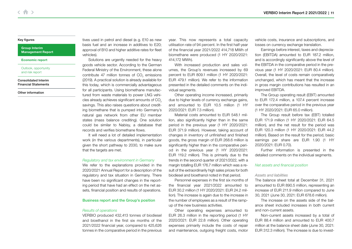## $\left\langle \begin{array}{c} A \end{array} \right\rangle$

### [Key figures](#page-1-0)

Group Interim [Management Report](#page-4-0)

[Economic report](#page-4-0)

[Outlook, opportunity](#page-12-0)  and risk report

[Consolidated Interim](#page-14-0)  Financial Statements

[Other information](#page-29-0)

tives used in petrol and diesel (e.g. E10 as new basis fuel and an increase in additives to E20; approval of B10 and higher additive rates for fleet vehicles).

Solutions are urgently needed for the heavy goods vehicle sector. According to the German Federal Ministry of the Environment, these alone contribute 47 million tonnes of CO<sub>2</sub> emissions (2019). A practical solution is already available for this today, which is commercially advantageous for all participants. Using biomethane manufactured from waste materials to power LNG vehicles already achieves significant amounts of CO<sub>2</sub> savings. This also raises questions about crediting biomethane that is pumped into Germany's natural gas network from other EU member states (mass balance crediting). One solution could be similar to Nabisy, a database that records and verifies biomethane flows.

It will need a lot of detailed implementation work (in the various departments), in particular given the short pathway to 2030, to make sure that the targets are met.

#### Regulatory and tax environment in Germany

We refer to the explanations provided in the 2020/2021 Annual Report for a description of the regulatory and tax situation in Germany. There have been no significant changes in the reporting period that have had an effect on the net assets, financial position and results of operations.

#### Business report and the Group's position

#### Results of operations

VERBIO produced 432,413 tonnes of biodiesel and bioethanol in the first six months of the 2021/2022 financial year, compared to 425,626 tonnes in the comparative period in the previous

year. This now represents a total capacity utilisation rate of 94 percent. In the first half-year of the financial year 2021/2022 414,718 MWh of biomethane were produced (1 HY 2020/2021: 414,172 MWh).

With increased production and sales volumes, the Group's revenues increased by 69 percent to EUR 809.1 million (1 HY 2020/2021: EUR 479.1 million). We refer to the information presented in the detailed comments on the individual segments.

Other operating income increased, primarily due to higher levels of currency exchange gains, and amounted to EUR 10.5 million (1 HY 2020/2021: EUR 7.3 million).

Material costs amounted to EUR 548.1 million, also significantly higher than in the same period in the previous year (1 HY 2020/2021: EUR 371.9 million). However, taking account of changes in inventory of unfinished and finished goods, the gross margin of EUR 268.6 million is significantly higher than in the comparative period in the previous year (1 HY 2020/2021: EUR 119.2 million). This is primarily due to the trends in the second quarter of 2021/2022, with a margin totalling EUR 176.7 million which was a result of the extraordinarily high sales prices for both biodiesel and bioethanol noted in that period.

Personnel expenses in the first six months of the financial year 2021/2022 amounted to EUR 30.2 million (1 HY 2020/2021: EUR 24.2 million). The increase is again due to the increase in the number of employees as a result of the rampup of the new business activities.

Other operating expenses amounted to EUR 26.3 million in the reporting period (1 HY 2020/2021: EUR 22.8 million). Other operating expenses primarily include the costs of repair and maintenance, outgoing freight costs, motor

vehicle costs, insurance and subscriptions, and losses on currency exchange translation.

Earnings before interest, taxes and depreciation (EBITDA) amounted to EUR 187.2 million, and is accordingly significantly above the level of the EBITDA in the comparative period in the previous year (1 HY 2020/2021: EUR 80.4 million). Overall, the level of costs remain comparatively unchanged, which has meant that the increase in gross margin contributions has resulted in an improved EBITDA.

The Group operating result (EBIT) amounted to EUR 172.4 million, a 107.4 percent increase over the comparative period in the previous year (1 HY 2020/2021: EUR 65.0 million).

The Group result before tax (EBT) totalled EUR 171.9 million (1 HY 2020/2021: EUR 64.5 million), and the net result for the period was EUR 120.3 million (1 HY 2020/2021: EUR 44.2 million). Based on the result for the period, basic earnings per share are EUR 1.90 (1 HY 2020/2021: EUR 0.70).

Further information is presented in the detailed comments on the individual segments.

#### Net assets and financial position

#### Assets and liabilities

The balance sheet total at December 31, 2021 amounted to EUR 890.5 million, representing an increase of EUR 211.9 million compared to June 30, 2021 (June 30, 2021: EUR 678.6 million).

The increase on the assets side of the balance sheet included increases in both current and non-current assets.

Non-current assets increased by a total of EUR 88.4 million and amounted to EUR 400.7 million at the balance sheet date (June 30, 2021: EUR 312.3 million). The increase is due to invest-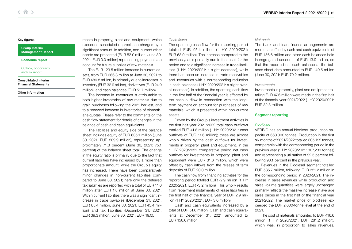#### Group Interim [Management Report](#page-4-0)

#### [Economic report](#page-4-0)

[Outlook, opportunity](#page-12-0)  and risk report

#### [Consolidated Interim](#page-14-0)  Financial Statements

[Other information](#page-29-0)

ments in property, plant and equipment, which exceeded scheduled depreciation charges by a significant amount. In addition, non-current other assets are presented (EUR 53.0 million; June 30, 2021: EUR 0.0 million) representing payments on account for future supplies of raw materials.

The EUR 123.5 million increase in current assets, from EUR 366.3 million at June 30, 2021 to EUR 489.8 million, is primarily due to increases in inventory (EUR 32.9 million), derivatives (EUR 24.9 million), and cash balances (EUR 51.7 million).

The increase in inventories is attributable to both higher inventories of raw materials due to grain purchases following the 2021 harvest, and to a renewed increase in inventories of biomethane quotas. Please refer to the comments on the cash flow statement for details of changes in the balance of cash and cash equivalents.

The liabilities and equity side of the balance sheet includes equity of EUR 635.1 million (June 30, 2021: EUR 509.9 million), representing approximately 71.3 percent (June 30, 2021: 75.1 percent) of the balance sheet total. The change in the equity ratio is primarily due to the fact that current liabilities have increased by a more than proportionate amount, while the Group's equity has increased. There have been comparatively minor changes in non-current liabilities compared to June 30, 2021; here only the deferred tax liabilities are reported with a total of EUR 11.0 million after EUR 1.8 million at June 30, 2021. Within current liabilities there was a significant increase in trade payables (December 31, 2021: EUR 85.4 million; June 30, 2021: EUR 45.4 million) and tax liabilities (December 31, 2021: EUR 39.3 million; June 30, 2021: EUR 19.0).

## Cash flows

The operating cash flow for the reporting period totalled EUR 95.4 million (1 HY 2020/2021: EUR 63.0 million). The increase compared to the previous year is primarily due to the result for the period and to a significant increase in trade liabilities (1 HY 2020/2021: a slight decrease), while there has been an increase in trade receivables and inventories with a corresponding reduction in cash balances (1 HY 2020/2021: a slight overall decrease). In addition, the operating cash flow in the first half of the financial year is affected by the cash outflow in connection with the longterm payment on account for purchases of raw materials, which is presented within non-current assets.

Driven by the Group's investment activities in the first half-year 2021/2022 total cash outflows totalled EUR 41.8 million (1 HY 2020/2021: cash outflows of EUR 11.6 million); these are almost wholly driven by the cash outflows for investments in property, plant and equipment. In the 1 HY 2020/2021 comparative period net cash outflows for investments in property, plant and equipment were EUR 31.6 million, which were offset by cash inflows from the release of term deposits of EUR 20.0 million.

The cash flow from financing activities for the reporting period totalled EUR -2.9 million (1 HY 2020/2021: EUR -3.2 million). This wholly results from repayment instalments of lease liabilities in the first half of the financial year of EUR 2.9 million (1 HY 2020/2021: EUR 3.0 million).

Cash and cash equivalents increased by a total of EUR 51.6 million. Cash and cash equivalents at December 31, 2021 amounted to EUR 156.6 million.

#### Net cash

The bank and loan finance arrangements are more than offset by cash and cash equivalents of EUR 156.6 million and other cash balances held in segregated accounts of EUR 13.9 million, so that the reported net cash balance at the balance sheet date amounted to EUR 140.5 million (June 30, 2021: EUR 79.2 million).

### Investments

Investments in property, plant and equipment totalling EUR 47.6 million were made in the first half of the financial year 2021/2022 (1 HY 2020/2021: EUR 32.3 million).

### Segment reporting

#### Biodiesel

VERBIO has an annual biodiesel production capacity of 660,000 tonnes. Production in the first six months of 2021/2022 totalled 305,192 tonnes, comparable with the corresponding period in the previous year (1 HY 2020/2021: 307,230 tonnes) and representing a utilisation of 92.5 percent following 93.1 percent in the previous year.

Revenues in the Biodiesel segment totalled EUR 585.7 million, following EUR 321.2 million in the corresponding period in 2020/2021. The increase in sales revenues while production and sales volume quantities were largely unchanged primarily reflects the massive increase in average sales prices in the first half of the financial year 2021/2022. The market price of biodiesel exceeded the EUR 2,000/tonne level at the end of 2021.

The cost of materials amounted to EUR 416.6 million (1 HY 2020/2021: EUR 281.2 million), which was, in proportion to sales revenues,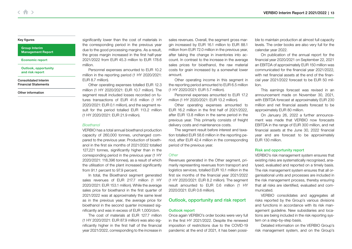#### <span id="page-12-0"></span>Group Interim [Management Report](#page-4-0)

#### [Economic report](#page-4-0)

Outlook, opportunity and risk report

[Consolidated Interim](#page-14-0)  Financial Statements

[Other information](#page-29-0)

significantly lower than the cost of materials in the corresponding period in the previous year due to the good processing margins. As a result, the gross margin increased in the first half-year 2021/2022 from EUR 45.3 million to EUR 178.6 million.

Personnel expenses amounted to EUR 10.2 million in the reporting period (1 HY 2020/2021: EUR 8.7 million).

Other operating expenses totalled EUR 12.3 million (1 HY 2020/2021: EUR 10.7 million). The segment result included losses recorded on futures transactions of EUR 41.6 million (1 HY 2020/2021: EUR 0.1 million), and the segment result for the period totalled EUR 113.2 million (1 HY 2020/2021: EUR 21.9 million).

#### Bioethanol

VERBIO has a total annual bioethanol production capacity of 260,000 tonnes, unchanged compared to the previous year. Production of bioethanol in the first six months of 2021/2022 totalled 127,221 tonnes, significantly higher than in the corresponding period in the previous year (1 HY 2020/2021: 118,396 tonnes), as a result of which the utilisation of the plant increased significantly from 91.1 percent to 97.9 percent.

In total, the Bioethanol segment generated sales revenues of EUR 217.7 million (1 HY 2020/2021: EUR 153.1 million). While the average sales price for bioethanol in the first quarter of 2021/2022 was at approximately the same level as in the previous year, the average price for bioethanol in the second quarter increased significantly and was in excess of EUR 1,000/cbm.

The cost of materials at EUR 127.7 million (1 HY 2020/2021: EUR 87.9 million) was also significantly higher in the first half of the financial year 2021/2022, corresponding to the increase in

sales revenues. Overall, the segment gross margin increased by EUR 16.1 million to EUR 88.1 million from EUR 72.0 million in the previous year, after taking the change in inventories into account. In contrast to the increase in the average sales prices for bioethanol, the raw material costs for grain increased by a somewhat lower amount.

Other operating income in this segment in the reporting period amounted to EUR 6.5 million (1 HY 2020/2021: EUR 5.7 million).

Personnel expenses amounted to EUR 17.2 million (1 HY 2020/2021: EUR 13.2 million).

Other operating expenses amounted to EUR 16.2 million in the first half of 2021/2022, after EUR 13.8 million in the same period in the previous year. This primarily consists of freight delivery costs and maintenance costs.

The segment result before interest and taxation totalled EUR 58.6 million in the reporting period, after EUR 42.4 million in the corresponding period of the previous year.

## **Other**

Revenues generated in the Other segment, primarily representing revenues from transport and logistics services, totalled EUR 10.1 million in the first six months of the financial year 2021/2022 (1 HY 2020/2021: EUR 8.2 million). The segment result amounted to EUR 0.6 million (1 HY 2020/2021: EUR 0.6 million).

## Outlook, opportunity and risk report

### Outlook report

Once again VERBIO's order books were very full in the first HY 2021/2022. Despite the renewed imposition of restrictions due to the COVID-19 pandemic at the end of 2021, it has been possible to maintain production at almost full capacity levels. The order books are also very full for the calendar year 2022.

On publication of the annual report for the financial year 2020/2021 on September 22, 2021 an EBITDA of approximately EUR 150 million was communicated for the financial year 2021/2022, with net financial assets at the end of the financial year 2021/2022 forecast to be EUR 50 million.

This earnings forecast was revised in an announcement made on November 30, 2021, with EBITDA forecast at approximately EUR 230 million and net financial assets forecast to be approximately EUR 80 million.

On January 26, 2022 a further announcement was made that VERBIO now forecasts EBITDA in the range of EUR 300 million, and net financial assets at the June 30, 2022 financial year end are forecast to be approximately EUR 130 million.

#### Risk and opportunity report

VERBIO's risk management system ensures that existing risks are systematically recognised, analysed, evaluated and reported on a timely basis. The risk management system ensures that all organisational units and processes are included in the risk management process, thereby ensuring that all risks are identified, evaluated and communicated.

VERBIO consolidates and aggregates all risks reported by the Group's various divisions and functions in accordance with its risk management guideline. New subsidiaries and locations are being included in the risk reporting system on a step-by-step basis.

Detailed information on the VERBIO Group's risk management system, and on the Group's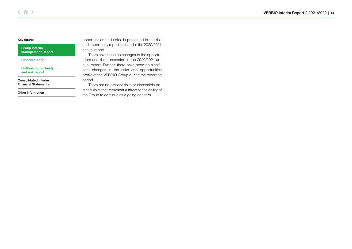Group Interim [Management Report](#page-4-0)

[Economic report](#page-4-0)

[Outlook, opportunity](#page-12-0)  and risk report

[Consolidated Interim](#page-14-0)  Financial Statements

[Other information](#page-29-0)

opportunities and risks, is presented in the risk and opportunity report included in the 2020/2021 annual report.

There have been no changes to the opportunities and risks presented in the 2020/2021 annual report. Further, there have been no significant changes in the risks and opportunities profile of the VERBIO Group during the reporting period.

There are no present risks or discernible potential risks that represent a threat to the ability of the Group to continue as a going concern.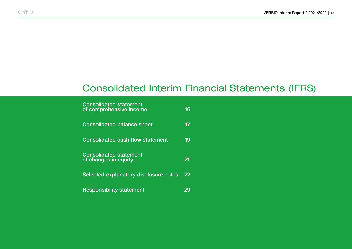# <span id="page-14-0"></span>Consolidated Interim Financial Statements (IFRS)

| <b>Consolidated statement</b><br>of comprehensive income | 16 |
|----------------------------------------------------------|----|
| <b>Consolidated balance sheet</b>                        | 17 |
| <b>Consolidated cash flow statement</b>                  | 19 |
| <b>Consolidated statement</b><br>of changes in equity    | 21 |
| Selected explanatory disclosure notes                    | 22 |
| <b>Responsibility statement</b>                          | 29 |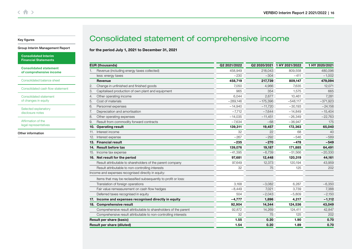#### <span id="page-15-0"></span>[Group Interim Management Report](#page-4-0)

[Consolidated Interim](#page-14-0)  Financial Statements

Consolidated statement of comprehensive income

[Consolidated balance sheet](#page-16-0)

[Consolidated cash flow statement](#page-18-0)

[Consolidated statement](#page-20-0)  of changes in equity

[Selected explanatory](#page-21-0)  disclosure notes

Affirmation of the [legal representatives](#page-28-0)

[Other information](#page-29-0)

## Consolidated statement of comprehensive income

## for the period July 1, 2021 to December 31, 2021

|                | <b>EUR (thousands)</b>                                          | Q2 2021/2022 |            | Q2 2020/2021 1 HY 2021/2022 | 1 HY 2020/2021 |
|----------------|-----------------------------------------------------------------|--------------|------------|-----------------------------|----------------|
| 1.             | Revenue (including energy taxes collected)                      | 458,949      | 218,043    | 809,558                     | 480,096        |
|                | less: energy taxes                                              | $-230$       | $-304$     | $-411$                      | $-1,002$       |
|                | Revenue                                                         | 458,719      | 217,739    | 809,147                     | 479,094        |
| $\overline{2}$ | Change in unfinished and finished goods                         | 7,050        | 4,966      | 7,635                       | 12,071         |
| 3.             | Capitalised production of own plant and equipment               | 965          | 354        | 1,575                       | 665            |
| 4.             | Other operating income                                          | 6,044        | 2,677      | 10,461                      | 7,281          |
| 5.             | Cost of materials                                               | $-289.146$   | $-175,396$ | $-548,117$                  | $-371,923$     |
| 6.             | Personnel expenses                                              | $-14,940$    | $-11,720$  | $-30,193$                   | $-24,156$      |
| 7.             | Depreciation and amortisation                                   | $-7,712$     | $-7,644$   | $-14,849$                   | $-15,404$      |
| 8.             | Other operating expenses                                        | $-14,035$    | $-11,451$  | $-26,349$                   | $-22,763$      |
| 9.             | Result from commodity forward contracts                         | $-7.634$     | $-68$      | $-36.947$                   | 175            |
| 10.            | <b>Operating result</b>                                         | 139,311      | 19,457     | 172,363                     | 65,040         |
| 11.            | Interest income                                                 | 32           | 22         | 68                          | 40             |
| 12.            | Interest expense                                                | $-267$       | $-292$     | $-546$                      | $-589$         |
| 13.            | <b>Financial result</b>                                         | $-235$       | $-270$     | $-478$                      | $-549$         |
| 14.            | <b>Result before tax</b>                                        | 139,076      | 19,187     | 171,885                     | 64,491         |
| 15.            | Income tax expense                                              | $-41,395$    | $-6,739$   | $-51,566$                   | $-20,330$      |
| 16.            | Net result for the period                                       | 97,681       | 12,448     | 120.319                     | 44,161         |
|                | Result attributable to shareholders of the parent company       | 97,649       | 12,373     | 120,194                     | 43,959         |
|                | Result attributable to non-controlling interests                | 32           | 75         | 125                         | 202            |
|                | Income and expenses recognised directly in equity:              |              |            |                             |                |
|                | Items that may be reclassified subsequently to profit or loss:  |              |            |                             |                |
|                | Translation of foreign operations                               | 3.168        | $-3,082$   | 6,287                       | $-6,350$       |
|                | Fair value remeasurement on cash flow hedges                    | $-8,449$     | 7,021      | 3,739                       | 7,388          |
|                | Deferred taxes recognised in equity                             | 504          | $-2,043$   | $-5,809$                    | $-2,150$       |
| 17.            | Income and expenses recognised directly in equity               | $-4,777$     | 1,896      | 4,217                       | $-1,112$       |
| 18.            | <b>Comprehensive result</b>                                     | 92,904       | 14,344     | 124,536                     | 43,049         |
|                | Comprehensive result attributable to shareholders of the parent | 92,872       | 14,269     | 124,411                     | 42,847         |
|                | Comprehensive result attributable to non-controlling interests  | 32           | 75         | 125                         | 202            |
|                | <b>Result per share (basic)</b>                                 | 1.55         | 0.20       | 1.90                        | 0.70           |
|                | <b>Result per share (diluted)</b>                               | 1.54         | 0.20       | 1.89                        | 0.70           |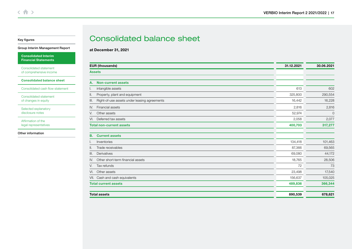## <span id="page-16-0"></span>[Group Interim Management Report](#page-4-0)

[Consolidated Interim](#page-14-0)  Financial Statements

Consolidated statement [of comprehensive income](#page-15-0)

Consolidated balance sheet

[Consolidated cash flow statement](#page-18-0)

[Consolidated statement](#page-20-0)  of changes in equity

[Selected explanatory](#page-21-0)  disclosure notes

Affirmation of the [legal representatives](#page-28-0)

[Other information](#page-29-0)

## Consolidated balance sheet

at December 31, 2021

| <b>EUR (thousands)</b>                               | 31.12.2021 | 30.06.2021     |
|------------------------------------------------------|------------|----------------|
| <b>Assets</b>                                        |            |                |
| <b>Non-current assets</b><br>А.                      |            |                |
| intangible assets                                    | 613        | 602            |
| Property, plant and equipment<br>Ш.                  | 325,800    | 290,554        |
| Right-of-use assets under leasing agreements<br>III. | 16,442     | 16,228         |
| Financial assets<br>IV.                              | 2,816      | 2,816          |
| Other assets<br>V.                                   | 52,974     | $\overline{0}$ |
| Deferred tax assets<br>VI.                           | 2,058      | 2,077          |
| <b>Total non-current assets</b>                      | 400,703    | 317,277        |
|                                                      |            |                |
| <b>Current assets</b><br>В.                          |            |                |
| Inventories                                          | 134,418    | 101,463        |
| Trade receivables<br>Ш.                              | 87,366     | 69,565         |
| Derivatives<br>III.                                  | 69,080     | 44,172         |
| Other short-term financial assets<br>IV.             | 18,765     | 28,506         |
| Tax refunds<br>V.                                    | 72         | 73             |
| Other assets<br>VI.                                  | 23,498     | 17,540         |
| Cash and cash equivalents<br>VII.                    | 156,637    | 105,025        |
| <b>Total current assets</b>                          | 489,836    | 366,344        |
| <b>Total assets</b>                                  | 890,539    | 678,621        |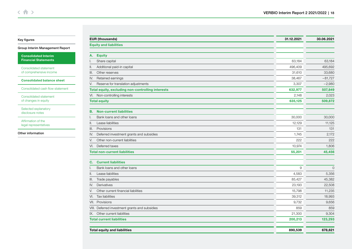[Group Interim Management Report](#page-4-0)

[Consolidated Interim](#page-14-0)  Financial Statements

Consolidated statement [of comprehensive income](#page-15-0)

[Consolidated balance sheet](#page-16-0)

[Consolidated cash flow statement](#page-18-0)

[Consolidated statement](#page-20-0)  of changes in equity

[Selected explanatory](#page-21-0)  disclosure notes

Affirmation of the [legal representatives](#page-28-0)

[Other information](#page-29-0)

| 63,184<br>496,409<br>31,610<br>38,467<br>3,307<br>632,977<br>2,148<br>635,125 | 63,184<br>495,692<br>33,680<br>$-81,727$<br>$-2,980$ |
|-------------------------------------------------------------------------------|------------------------------------------------------|
|                                                                               |                                                      |
|                                                                               |                                                      |
|                                                                               |                                                      |
|                                                                               |                                                      |
|                                                                               |                                                      |
|                                                                               |                                                      |
|                                                                               |                                                      |
|                                                                               | 507,849                                              |
|                                                                               | 2,023                                                |
|                                                                               | 509,872                                              |
|                                                                               |                                                      |
| 30,000                                                                        | 30,000                                               |
| 12,129                                                                        | 11,125                                               |
| 131                                                                           | 131                                                  |
| 1,745                                                                         | 2,172                                                |
| 222                                                                           | 222                                                  |
| 10,974                                                                        | 1,806                                                |
| 55,201                                                                        | 45,456                                               |
|                                                                               |                                                      |
|                                                                               |                                                      |
| 9                                                                             | $\mathbf{0}$                                         |
| 4,583                                                                         | 5,356                                                |
| 85,427                                                                        | 45,382                                               |
| 23,193                                                                        | 22,508                                               |
| 15,798                                                                        | 11,235                                               |
| 39,312                                                                        | 18,993                                               |
| 9,732                                                                         | 9,656                                                |
| 859                                                                           | 859                                                  |
| 21,300                                                                        | 9,304                                                |
| 200,213                                                                       | 123,293                                              |
|                                                                               | 678,621                                              |
|                                                                               | 890,539                                              |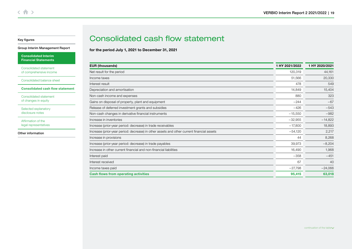#### <span id="page-18-0"></span>[Group Interim Management Report](#page-4-0)

[Consolidated Interim](#page-14-0)  Financial Statements

Consolidated statement [of comprehensive income](#page-15-0)

[Consolidated balance sheet](#page-16-0)

Consolidated cash flow statement

[Consolidated statement](#page-20-0)  of changes in equity

[Selected explanatory](#page-21-0)  disclosure notes

Affirmation of the [legal representatives](#page-28-0)

[Other information](#page-29-0)

## Consolidated cash flow statement

for the period July 1, 2021 to December 31, 2021

| <b>EUR (thousands)</b>                                                                    | 1 HY 2021/2022 | 1 HY 2020/2021 |
|-------------------------------------------------------------------------------------------|----------------|----------------|
| Net result for the period                                                                 | 120,319        | 44,161         |
| Income taxes                                                                              | 51,566         | 20,330         |
| Interest result                                                                           | 478            | 549            |
| Depreciation and amortisation                                                             | 14,849         | 15,404         |
| Non-cash income and expenses                                                              | 880            | 323            |
| Gains on disposal of property, plant and equipment                                        | $-244$         | $-67$          |
| Release of deferred investment grants and subsidies                                       | $-426$         | $-543$         |
| Non-cash changes in derivative financial instruments                                      | $-15,550$      | $-982$         |
| Increase in inventories                                                                   | $-32,955$      | $-14,822$      |
| Increase (prior-year period: decrease) in trade receivables                               | $-17,800$      | 18,893         |
| Increase (prior-year period: decrease) in other assets and other current financial assets | $-54,120$      | 2,217          |
| Increase in provisions                                                                    | 44             | 8,268          |
| Increase (prior-year period: decrease) in trade payables                                  | 39,973         | $-8,204$       |
| Increase in other current financial and non-financial liabilities                         | 16,490         | 1,968          |
| Interest paid                                                                             | $-358$         | $-451$         |
| Interest received                                                                         | 67             | 40             |
| Income taxes paid                                                                         | $-27,798$      | $-24,066$      |
| <b>Cash flows from operating activities</b>                                               | 95,415         | 63,018         |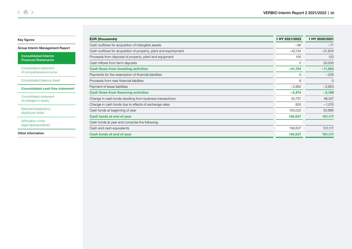[Group Interim Management Report](#page-4-0)

[Consolidated Interim](#page-14-0)  Financial Statements

Consolidated statement [of comprehensive income](#page-15-0)

[Consolidated balance sheet](#page-16-0)

[Consolidated cash flow statement](#page-18-0)

[Consolidated statement](#page-20-0)  of changes in equity

[Selected explanatory](#page-21-0)  disclosure notes

Affirmation of the [legal representatives](#page-28-0)

[Other information](#page-29-0)

| <b>EUR (thousands)</b>                                          | 1 HY 2021/2022 | 1 HY 2020/2021 |
|-----------------------------------------------------------------|----------------|----------------|
| Cash outflows for acquisition of intangible assets              | $-66$          | $-71$          |
| Cash outflows for acquisition of property, plant and equimpment | $-42,134$      | $-31,634$      |
| Proceeds from disposal of property, plant and equipment         | 416            | 122            |
| Cash inflows from term deposits                                 | 0              | 20,000         |
| <b>Cash flows from investing activities</b>                     | $-41,784$      | $-11,583$      |
| Payments for the redemption of financial liabilities            | 0              | $-235$         |
| Proceeds from new financial liabilites                          | 8              | $\Omega$       |
| Payment of lease liabilities                                    | $-2,882$       | $-2,953$       |
| <b>Cash flows from financing activities</b>                     | $-2,874$       | $-3,188$       |
| Change in cash funds resulting from business transactions       | 50,757         | 48,247         |
| Change in cash funds due to effects of exchange rates           | 855            | $-1,015$       |
| Cash funds at beginning of year                                 | 105,025        | 53,885         |
| Cash funds at end of year                                       | 156,637        | 101,117        |
| Cash funds at year end comprise the following:                  |                |                |
| Cash and cash equivalents                                       | 156,637        | 101,117        |
| Cash funds at end of year                                       | 156,637        | 101,117        |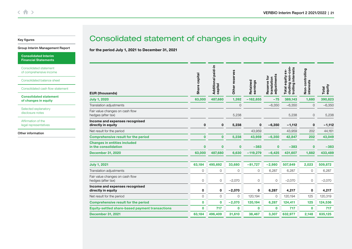#### <span id="page-20-0"></span>[Group Interim Management Report](#page-4-0)

[Consolidated Interim](#page-14-0)  Financial Statements

Consolidated statement [of comprehensive income](#page-15-0)

[Consolidated balance sheet](#page-16-0)

[Consolidated cash flow statement](#page-18-0)

Consolidated statement of changes in equity

[Selected explanatory](#page-21-0)  disclosure notes

Affirmation of the [legal representatives](#page-28-0)

[Other information](#page-29-0)

## Consolidated statement of changes in equity

for the period July 1, 2021 to December 31, 2021

| <b>EUR (thousands)</b>                                      | capital<br>Share | Additional paid-in<br>capital | Other reserves | Retained<br>earnings | adjustments<br>Reserve for<br>translation | non-con-<br>interests<br>$ex-$<br>equity<br>cluding i<br>trolling i<br><b>Total</b> | Non-controlling<br>interests | equity<br>Total |
|-------------------------------------------------------------|------------------|-------------------------------|----------------|----------------------|-------------------------------------------|-------------------------------------------------------------------------------------|------------------------------|-----------------|
| <b>July 1, 2020</b>                                         | 63,000           | 487,680                       | 1,392          | $-162,855$           | $-75$                                     | 389,143                                                                             | 1,680                        | 390,823         |
| Translation adjustments                                     |                  |                               | $\mathbf 0$    |                      | $-6,350$                                  | $-6,350$                                                                            | $\mathbf 0$                  | $-6,350$        |
| Fair value changes on cash flow<br>hedges (after tax)       |                  |                               | 5,238          |                      |                                           | 5,238                                                                               | $\circ$                      | 5,238           |
| Income and expenses recognised<br>directly in equity        | $\mathbf 0$      | $\mathbf 0$                   | 5,238          | 0                    | $-6,350$                                  | $-1,112$                                                                            | $\mathbf 0$                  | $-1,112$        |
| Net result for the period                                   |                  |                               |                | 43,959               |                                           | 43,959                                                                              | 202                          | 44,161          |
| <b>Comprehensive result for the period</b>                  | $\mathbf{0}$     | $\bf{0}$                      | 5,238          | 43,959               | $-6,350$                                  | 42,847                                                                              | 202                          | 43,049          |
| <b>Changes in entities included</b><br>in the consolidation | $\mathbf 0$      | $\mathbf 0$                   | $\bf{0}$       | $-383$               | $\mathbf 0$                               | $-383$                                                                              | $\mathbf 0$                  | $-383$          |
| <b>December 31, 2020</b>                                    | 63,000           | 487,680                       | 6,630          | $-119,279$           | $-6,425$                                  | 431,607                                                                             | 1,882                        | 433,489         |
| <b>July 1, 2021</b>                                         | 63,184           | 495,692                       | 33,680         | $-81,727$            | $-2,980$                                  | 507,849                                                                             | 2,023                        | 509,872         |
| Translation adjustments                                     | $\mathbf 0$      | $\mathbf 0$                   | 0              | 0                    | 6,287                                     | 6,287                                                                               | $\mathbf 0$                  | 6,287           |
| Fair value changes on cash flow<br>hedges (after tax)       | $\mathbf 0$      | $\mathbf 0$                   | $-2,070$       | 0                    | $\mathbf{O}$                              | $-2,070$                                                                            | 0                            | $-2,070$        |
| Income and expenses recognised<br>directly in equity        | 0                | 0                             | $-2,070$       | 0                    | 6,287                                     | 4,217                                                                               | 0                            | 4,217           |
| Net result for the period                                   | $\mathbf{O}$     | $\mathbf 0$                   | 0              | 120,194              | $\Omega$                                  | 120,194                                                                             | 125                          | 120,319         |
| <b>Comprehensive result for the period</b>                  | 0                | 0                             | $-2,070$       | 120,194              | 6,287                                     | 124,411                                                                             | 125                          | 124,536         |
| <b>Equity-settled share-based payment transactions</b>      | 0                | 717                           | $\mathbf 0$    | 0                    | $\mathbf 0$                               | 717                                                                                 | $\mathbf 0$                  | 717             |
| <b>December 31, 2021</b>                                    | 63,184           | 496,409                       | 31,610         | 38,467               | 3,307                                     | 632,977                                                                             | 2,148                        | 635,125         |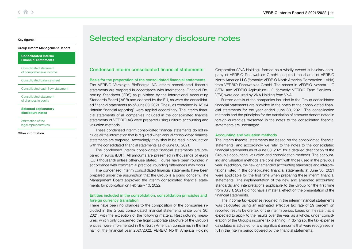#### <span id="page-21-0"></span>[Group Interim Management Report](#page-4-0)

[Consolidated Interim](#page-14-0)  Financial Statements

Consolidated statement [of comprehensive income](#page-15-0)

[Consolidated balance sheet](#page-16-0)

[Consolidated cash flow statement](#page-18-0)

[Consolidated statement](#page-20-0)  of changes in equity

Selected explanatory disclosure notes

Affirmation of the [legal representatives](#page-28-0)

[Other information](#page-29-0)

## Selected explanatory disclosure notes

Condensed interim consolidated financial statements

Basis for the preparation of the consolidated financial statements The VERBIO Vereinigte BioEnergie AG interim consolidated financial statements are prepared in accordance with International Financial Reporting Standards (IFRS) as published by the International Accounting Standards Board (IASB) and adopted by the EU, as were the consolidated financial statements as of June 30, 2021. The rules contained in IAS 34 "Interim financial reporting" were applied accordingly. The interim financial statements of all companies included in the consolidated financial statements of VERBIO AG were prepared using uniform accounting and valuation methods.

These condensed interim consolidated financial statements do not include all the information that is required when annual consolidated financial statements are prepared. Accordingly, they should be read in conjunction with the consolidated financial statements as of June 30, 2021.

The condensed interim consolidated financial statements are prepared in euros (EUR). All amounts are presented in thousands of euros (EUR thousand) unless otherwise stated. Figures have been rounded in accordance with commercial practice; rounding differences may occur.

The condensed interim consolidated financial statements have been prepared under the assumption that the Group is a going concern. The Management Board approved the interim consolidated financial statements for publication on February 10, 2022.

## Entities included in the consolidation, consolidation principles and foreign currency translation

There have been no changes to the composition of the companies included in the Group consolidated financial statements since June 30, 2021, with the exception of the following matters. Restructuring measures, which only concerned the legal corporate structure of the Group's entities, were implemented in the North American companies in the first half of the financial year 2021/2022. VERBIO North America Holding

Corporation (VNA Holding), formed as a wholly-owned subsidiary company of VERBIO Renewables GmbH, acquired the shares of VERBIO North America LLC (formerly: VERBIO North America Corporation – VNA) from VERBIO Renewables GmbH. The shares in VERBIO Nevada LLC (VEN) and VERBIO Agriculture LLC (formerly: VERBIO Farm Services – VEA) were acquired by VNA Holding from VNA.

Further details of the companies included in the Group consolidated financial statements are provided in the notes to the consolidated financial statements for the year ended June 30, 2021. The consolidation methods and the principles for the translation of amounts denominated in foreign currencies presented in the notes to the consolidated financial statements are unchanged.

#### Accounting and valuation methods

The interim financial statements are based on the consolidated financial statements, and accordingly we refer to the notes to the consolidated financial statements as of June 30, 2021 for a detailed description of the Group's accounting, valuation and consolidation methods. The accounting and valuation methods are consistent with those used in the previous year. In addition, the new or amended accounting standards and interpretations listed in the consolidated financial statements at June 30, 2021 were applicable for the first time when preparing these interim financial statements. The implementation of the new and amended accounting standards and interpretations applicable to the Group for the first time from July 1, 2021 did not have a material effect on the presentation of the financial statements.

The income tax expense reported in the interim financial statements was calculated using an estimated effective tax rate of 29 percent on reported results before tax for the interim period, based on the rate that is expected to apply to the results over the year as a whole, under consideration of the Group's income tax planning. In doing so, the tax expense calculated is adjusted for any significant amounts that were recognised in full in the interim period covered by the financial statements.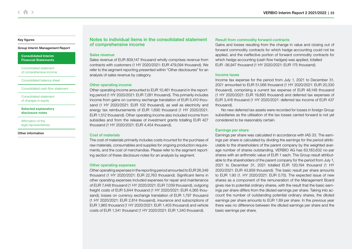#### [Group Interim Management Report](#page-4-0)

[Consolidated Interim](#page-14-0)  Financial Statements

Consolidated statement [of comprehensive income](#page-15-0)

[Consolidated balance sheet](#page-16-0)

[Consolidated cash flow statement](#page-18-0)

[Consolidated statement](#page-20-0)  of changes in equity

[Selected explanatory](#page-21-0)  disclosure notes

Affirmation of the [legal representatives](#page-28-0)

[Other information](#page-29-0)

Notes to individual items in the consolidated statement of comprehensive income

#### Sales revenue

Sales revenue of EUR 809,147 thousand wholly comprises revenue from contracts with customers (1 HY 2020/2021: EUR 479,094 thousand). We refer to the segment reporting presented within "Other disclosures" for an analysis of sales revenue by category.

#### Other operating income

Other operating income amounted to EUR 10,461 thousand in the reporting period (1 HY 2020/2021: EUR 7,281 thousand). This primarily includes income from gains on currency exchange translation of EUR 5,410 thousand (1 HY 2020/2021: EUR 102 thousand), as well as electricity and energy tax reimbursements of EUR 1,690 thousand (1 HY 2020/2021: EUR 1,512 thousand). Other operating income also included income from subsidies and from the release of investment grants totalling EUR 427 thousand (1 HY 2020/2021: EUR 4,454 thousand).

#### Cost of materials

The cost of materials primarily includes costs incurred for the purchase of raw materials, consumables and supplies for ongoing production requirements, and the cost of merchandise. Please refer to the segment reporting section of these disclosure notes for an analysis by segment.

### Other operating expenses

Other operating expenses in the reporting period amounted to EUR 26,349 thousand (1 HY 2020/2021: EUR 22,763 thousand). Significant items in other operating expenses included expenses for repair and maintenance of EUR 7,448 thousand (1 HY 2020/2021: EUR 7,039 thousand), outgoing freight costs of EUR 5,644 thousand (1 HY 2020/2021: EUR 4,365 thousand), losses on currency exchange translation of EUR 1,797 thousand (1 HY 2020/2021: EUR 2,814 thousand), insurance and subscriptions of EUR 1,965 thousand (1 HY 2020/2021: EUR 1,403 thousand) and vehicle costs of EUR 1,341 thousand (1 HY 2020/2021: EUR 1,340 thousand).

### Result from commodity forward contracts

Gains and losses resulting from the change in value and closing out of forward commodity contracts for which hedge accounting could not be applied, and the ineffective portion of forward commodity contracts for which hedge accounting (cash flow hedges) was applied, totalled EUR -36,947 thousand (1 HY 2020/2021: EUR 175 thousand).

#### Income taxes

Income tax expense for the period from July 1, 2021 to December 31, 2021 amounted to EUR 51,566 thousand (1 HY 2020/2021: EUR 20,330 thousand), comprising a current tax expense of EUR 48,148 thousand (1 HY 2020/2021: EUR 19,893 thousand) and deferred tax expenses of EUR 3,418 thousand (1 HY 2020/2021: deferred tax income of EUR 437 thousand).

No new deferred tax assets were recorded for losses in foreign Group subsidiaries as the utilisation of the tax losses carried forward is not yet considered to be reasonably certain.

### Earnings per share

Earnings per share was calculated in accordance with IAS 33. The earnings per share is calculated by dividing the earnings for the period attributable to the shareholders of the parent company by the weighted average number of shares outstanding. VERBIO AG has 63,183,632 no-par shares with an arithmetic value of EUR 1 each. The Group result attributable to the shareholders of the parent company for the period from July 1, 2021 to December 31, 2021 totalled EUR 120,194 thousand (1 HY 2020/2021: EUR 43,959 thousand). The basic result per share amounts to EUR 1.90 (1. HY 2020/2021: EUR 0.70). The expected issue of new shares as a component of the remuneration of the Management Board gives rise to potential ordinary shares, with the result that the basic earnings per share differs from the diluted earnings per share. Taking into account the number of outstanding potential ordinary shares, the diluted earnings per share amounts to EUR 1.89 per share. In the previous year there was no difference between the diluted earnings per share and the basic earnings per share.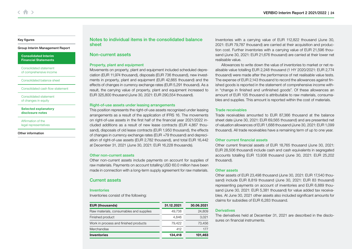#### [Group Interim Management Report](#page-4-0)

[Consolidated Interim](#page-14-0)  Financial Statements

Consolidated statement [of comprehensive income](#page-15-0)

[Consolidated balance sheet](#page-16-0)

[Consolidated cash flow statement](#page-18-0)

[Consolidated statement](#page-20-0)  of changes in equity

[Selected explanatory](#page-21-0)  disclosure notes

Affirmation of the [legal representatives](#page-28-0)

[Other information](#page-29-0)

Notes to individual items in the consolidated balance sheet

## Non-current assets

### Property, plant and equipment

Movements on property, plant and equipment included scheduled depreciation (EUR 11,974 thousand), disposals (EUR 736 thousand), new investments in property, plant and equipment (EUR 42,665 thousand) and the effects of changes in currency exchange rates (EUR 5,291 thousand). As a result, the carrying value of property, plant and equipment increased to EUR 325,800 thousand (June 30, 2021: EUR 290,554 thousand).

### Right-of-use assets under leasing arrangements

This position represents the right-of-use assets recognised under leasing arrangements as a result of the application of IFRS 16. The movements on right-of-use assets in the first half of the financial year 2021/2022 included additions as a result of new lease contracts (EUR 4,867 thousand), disposals of old lease contracts (EUR 1,950 thousand), the effects of changes in currency exchange rates (EUR +79 thousand) and depreciation of right-of-use assets (EUR 2,782 thousand), and total EUR 16,442 at December 31, 2021 (June 30, 2021: EUR 16,228 thousands).

### Other non-current assets

Other non-current assets include payments on account for supplies of raw materials. Payments on account totalling USD 60.0 million have been made in connection with a long-term supply agreement for raw materials.

## Current assets

#### Inventories

Inventories consist of the following:

| <b>EUR (thousands)</b>                  | 31.12.2021 | 30.06.2021 |
|-----------------------------------------|------------|------------|
| Raw materials, consumables and supplies | 49.738     | 24.809     |
| Finished product                        | 4.846      | 3,021      |
| Work in process and finished products   | 79.422     | 73.456     |
| Merchandise                             | 412        | 177        |
| <b>Inventories</b>                      | 134,418    | 101,463    |

Inventories with a carrying value of EUR 112,822 thousand (June 30, 2021: EUR 79,787 thousand) are carried at their acquisition and production cost. Further inventories with a carrying value of EUR 21,596 thousand (June 30, 2021: EUR 21,676 thousand) are carried at their lower net realisable value.

Allowances to write down the value of inventories to market or net realisable value totalling EUR 2,248 thousand (1 HY 2020/2021: EUR 2,774 thousand) were made after the performance of net realisable value tests. The expense of EUR 2,143 thousand to record the allowances against finished goods is reported in the statement of comprehensive income within "change in finished and unfinished goods". Of these allowances an amount of EUR 105 thousand is attributable to raw materials, consumables and supplies. This amount is reported within the cost of materials.

## Trade receivables

Trade receivables amounted to EUR 87,366 thousand at the balance sheet date (June 30, 2021: EUR 69,565 thousand) and are presented net of valuation allowances of EUR 1,688 thousand (June 30, 2021: EUR 1,099 thousand). All trade receivables have a remaining term of up to one year.

### Other current financial assets

Other current financial assets of EUR 18,765 thousand (June 30, 2021: EUR 28,506 thousand) include cash and cash equivalents in segregated accounts totalling EUR 13,938 thousand (June 30, 2021: EUR 25,202 thousand).

### Other assets

Other assets of EUR 23,498 thousand (June 30, 2021: EUR 17,540 thousand) include EUR 8,819 thousand (June 30, 2021: EUR 83 thousand) representing payments on account of inventories and EUR 6,889 thousand (June 30, 2021: EUR 5,381 thousand) for value added tax receivables. At June 30, 2021 other assets also included significant amounts for claims for subsidies of EUR 6,283 thousand.

## **Derivatives**

The derivatives held at December 31, 2021 are described in the disclosures on financial instruments.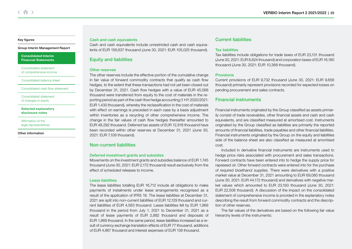#### [Group Interim Management Report](#page-4-0)

[Consolidated Interim](#page-14-0)  Financial Statements

Consolidated statement [of comprehensive income](#page-15-0)

[Consolidated balance sheet](#page-16-0)

[Consolidated cash flow statement](#page-18-0)

[Consolidated statement](#page-20-0)  of changes in equity

[Selected explanatory](#page-21-0)  disclosure notes

Affirmation of the [legal representatives](#page-28-0)

[Other information](#page-29-0)

#### Cash and cash equivalents

Cash and cash equivalents include unrestricted cash and cash equivalents of EUR 156,637 thousand (June 30, 2021: EUR 105,025 thousand).

## Equity and liabilities

### Other reserves

The other reserves include the effective portion of the cumulative change in fair value of forward commodity contracts that qualify as cash flow hedges, to the extent that these transactions had not yet been closed out by December 31, 2021. Cash flow hedges with a value of EUR 45,566 thousand were transferred from equity to the cost of materials in the reporting period as part of the cash flow hedge accounting (1 HY 2020/2021: EUR 1,430 thousand), whereby the reclassification in the cost of materials with effect on earnings is preceded in each case by a basis adjustment within inventories as a recycling of other comprehensive income. The change in the fair values of cash flow hedges thereafter amounted to EUR 48,292 thousand. Deferred tax assets of EUR 12,918 thousand have been recorded within other reserves at December 31, 2021 (June 30, 2021: EUR 7,109 thousand).

## Non-current liabilities

#### Deferred investment grants and subsidies

Movements on the investment grants and subsidies balance of EUR 1,745 thousand (June 30, 2021: EUR 2,172 thousand) result exclusively from the effect of scheduled releases to income.

#### Leass liabilities

The lease liabilities totalling EUR 16,712 include all obligations to make payments of instalments under lease arrangements recognised as a result of the application of IFRS 16. The lease liabilities at December 31, 2021 are split into non-current liabilities of EUR 12,129 thousand and current liabilities of EUR 4,583 thousand. Lease liabilities fell by EUR 1,969 thousand in the period from July 1, 2021 to December 31, 2021 as a result of lease payments of EUR 2,882 thousand and disposals of EUR 1,969 thousand. In the same period, lease liabilities increased as a result of currency exchange translation effects of EUR 77 thousand, additions of EUR 4,867 thousand and interest expenses of EUR 138 thousand.

## Current liabilities

#### Tax liabilities

Tax liabilities include obligations for trade taxes of EUR 23,131 thousand (June 30, 2021: EUR 8,624 thousand) and corporation taxes of EUR 16,180 thousand (June 30, 2021: EUR 10,368 thousand).

#### **Provisions**

Current provisions of EUR 9,732 thousand (June 30, 2021: EUR 9,656 thousand) primarily represent provisions recorded for expected losses on pending procurement and sales contracts.

### Financial instruments

Financial instruments originated by the Group classified as assets primarily consist of trade receivables, other financial assets and cash and cash equivalents, and are classified measured at amortised cost. Instruments originated by the Group classified as liabilities are primarily the reported amounts of financial liabilities, trade payables and other financial liabilities. Financial instruments originated by the Group on the equity and liabilities side of the balance sheet are also classified as measured at amortised cost.

Included in derivative financial instruments are instruments used to hedge price risks associated with procurement and sales transactions. Forward contracts have been entered into to hedge the supply price for rapeseed oil. Other forward contracts were entered into for the purchase of required bioethanol supplies. There were derivatives with a positive market value at December 31, 2021 amounting to EUR 69,080 thousand (June 30, 2021: EUR 44,172 thousand) and derivatives with negative market values which amounted to EUR 23,193 thousand (June 30, 2021: EUR 22,508 thousand). A discussion of the impact on the consolidated statement of comprehensive income is provided in the explanatory notes describing the result from forward commodity contracts and the description of other reserves.

The fair values of the derivatives are based on the following fair value hierarchy levels of the instruments: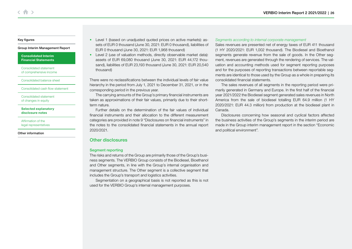#### [Group Interim Management Report](#page-4-0)

[Consolidated Interim](#page-14-0)  Financial Statements

Consolidated statement [of comprehensive income](#page-15-0)

[Consolidated balance sheet](#page-16-0)

[Consolidated cash flow statement](#page-18-0)

[Consolidated statement](#page-20-0)  of changes in equity

[Selected explanatory](#page-21-0)  disclosure notes

Affirmation of the [legal representatives](#page-28-0)

[Other information](#page-29-0)

- Level 1 (based on unadiusted quoted prices on active markets): assets of EUR 0 thousand (June 30, 2021: EUR 0 thousand), liabilities of EUR 0 thousand (June 30, 2021: EUR 1,968 thousand)
- Level 2 (use of valuation methods, directly observable market data): assets of EUR 69,080 thousand (June 30, 2021: EUR 44,172 thousand), liabilities of EUR 23,193 thousand (June 30, 2021: EUR 20,540 thousand)

There were no reclassifications between the individual levels of fair value hierarchy in the period from July 1, 2021 to December 31, 2021, or in the corresponding period in the previous year.

The carrying amounts of the Group's primary financial instruments are taken as approximations of their fair values, primarily due to their shortterm nature.

Further details on the determination of the fair values of individual financial instruments and their allocation to the different measurement categories are provided in note 9 "Disclosures on financial instruments" in the notes to the consolidated financial statements in the annual report 2020/2021.

## Other disclosures

#### Segment reporting

The risks and returns of the Group are primarily those of the Group's business segments. The VERBIO Group consists of the Biodiesel, Bioethanol and Other segments, in line with the Group's internal organisation and management structure. The Other segment is a collective segment that includes the Group's transport and logistics activities.

Segmentation on a geographical basis is not reported as this is not used for the VERBIO Group's internal management purposes.

#### Segments according to internal corporate management

Sales revenues are presented net of energy taxes of EUR 411 thousand (1 HY 2020/2021: EUR 1,002 thousand). The Biodiesel and Bioethanol segments generate revenue from the sale of goods. In the Other segment, revenues are generated through the rendering of services. The valuation and accounting methods used for segment reporting purposes and for the purposes of reporting transactions between reportable segments are identical to those used by the Group as a whole in preparing its consolidated financial statements.

The sales revenues of all segments in the reporting period were primarily generated in Germany and Europe. In the first half of the financial year 2021/2022 the Biodiesel segment generated sales revenues in North America from the sale of biodiesel totalling EUR 64.9 million (1 HY 2020/2021: EUR 44.3 million) from production at the biodiesel plant in Canada.

Disclosures concerning how seasonal and cyclical factors affected the business activities of the Group's segments in the interim period are made in the Group interim management report in the section "Economic and political environment".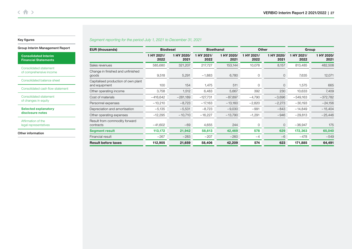## Segment reporting for the period July 1, 2021 to December 31, 2021

|  |  | Group Interim Management Report |
|--|--|---------------------------------|
|--|--|---------------------------------|

[Consolidated Interim](#page-14-0)  Financial Statements

Consolidated statement [of comprehensive income](#page-15-0)

[Consolidated balance sheet](#page-16-0)

[Consolidated cash flow statement](#page-18-0)

[Consolidated statement](#page-20-0)  of changes in equity

[Selected explanatory](#page-21-0)  disclosure notes

Affirmation of the [legal representatives](#page-28-0)

[Other information](#page-29-0)

| <b>EUR (thousands)</b>                               | <b>Biodiesel</b>   |                    | <b>Bioethanol</b>  |                    | Other              |                    | Group              |                    |
|------------------------------------------------------|--------------------|--------------------|--------------------|--------------------|--------------------|--------------------|--------------------|--------------------|
|                                                      | 1 HY 2021/<br>2022 | 1 HY 2020/<br>2021 | 1 HY 2021/<br>2022 | 1 HY 2020/<br>2021 | 1 HY 2021/<br>2022 | 1 HY 2020/<br>2021 | 1 HY 2021/<br>2022 | 1 HY 2020/<br>2021 |
| Sales revenues                                       | 585,680            | 321,207            | 217,727            | 153,144            | 10,078             | 8,157              | 813,485            | 482,508            |
| Change in finished and unfinished<br>goods           | 9,518              | 5,291              | $-1,883$           | 6,780              | 0                  | $\mathbf{0}$       | 7,635              | 12,071             |
| Capitalised production of own plant<br>and equipment | 100                | 154                | 1,475              | 511                | 0                  | $\mathbf{0}$       | 1,575              | 665                |
| Other operating income                               | 3,758              | 1,512              | 6,483              | 5,667              | 392                | 230                | 10,633             | 7,409              |
| Cost of materials                                    | $-416,642$         | $-281,189$         | $-127,731$         | $-87,897$          | $-4,790$           | $-3,696$           | $-549,163$         | $-372,782$         |
| Personnel expenses                                   | $-10,210$          | $-8,723$           | $-17,163$          | $-13,160$          | $-2,820$           | $-2,273$           | $-30,193$          | $-24,156$          |
| Depreciation and amortisation                        | $-5,135$           | $-5,531$           | $-8,723$           | $-9,030$           | $-991$             | $-843$             | $-14,849$          | $-15,404$          |
| Other operating expenses                             | $-12,295$          | $-10,710$          | $-16,227$          | $-13,790$          | $-1,291$           | $-946$             | $-29,813$          | $-25,446$          |
| Result from commodity forward<br>contracts           | $-41,602$          | $-69-$             | 4,655              | 244                | 0                  | $\overline{0}$     | $-36,947$          | 175                |
| <b>Segment result</b>                                | 113,172            | 21,942             | 58,613             | 42,469             | 578                | 629                | 172,363            | 65,040             |
| Financial result                                     | $-267$             | $-283$             | $-207$             | $-260$             | $-4$               | $-6$               | $-478$             | $-549$             |
| <b>Result before taxes</b>                           | 112,905            | 21,659             | 58,406             | 42,209             | 574                | 623                | 171,885            | 64,491             |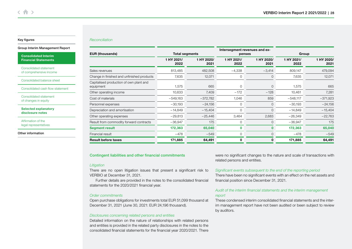#### Reconciliation

#### [Group Interim Management Report](#page-4-0)

[Consolidated Interim](#page-14-0)  Financial Statements

Consolidated statement [of comprehensive income](#page-15-0)

[Consolidated balance sheet](#page-16-0)

[Consolidated cash flow statement](#page-18-0)

[Consolidated statement](#page-20-0)  of changes in equity

[Selected explanatory](#page-21-0)  disclosure notes

Affirmation of the [legal representatives](#page-28-0)

[Other information](#page-29-0)

| <b>EUR (thousands)</b>                               | <b>Total segments</b> |                    | Intersegment revenues and ex-<br>penses |                    | Group              |                    |  |
|------------------------------------------------------|-----------------------|--------------------|-----------------------------------------|--------------------|--------------------|--------------------|--|
|                                                      | 1 HY 2021/<br>2022    | 1 HY 2020/<br>2021 | 1 HY 2021/<br>2022                      | 1 HY 2020/<br>2021 | 1 HY 2021/<br>2022 | 1 HY 2020/<br>2021 |  |
| Sales revenues                                       | 813,485               | 482,508            | $-4,338$                                | $-3,414$           | 809,147            | 479,094            |  |
| Change in finished and unfinished products           | 7,635                 | 12,071             | 0                                       | 0                  | 7,635              | 12,071             |  |
| Capitalised production of own plant and<br>equipment | 1,575                 | 665                | 0                                       | 0                  | 1,575              | 665                |  |
| Other operating income                               | 10,633                | 7,409              | $-172$                                  | $-128$             | 10,461             | 7,281              |  |
| Cost of materials                                    | $-549,163$            | $-372,782$         | 1,046                                   | 859                | $-548,117$         | $-371,923$         |  |
| Personnel expenses                                   | $-30,193$             | $-24,156$          | $\mathbf 0$                             | $\overline{0}$     | $-30,193$          | $-24,156$          |  |
| Depreciation and amortisation                        | $-14,849$             | $-15,404$          | $\mathbf 0$                             | 0                  | $-14,849$          | $-15,404$          |  |
| Other operating expenses                             | $-29,813$             | $-25,446$          | 3,464                                   | 2,683              | $-26,349$          | $-22,763$          |  |
| Result from commodity forward contracts              | $-36,947$             | 175                | $\mathbf 0$                             | 0                  | $-36,947$          | 175                |  |
| <b>Segment result</b>                                | 172,363               | 65,040             | $\mathbf 0$                             | 0                  | 172,363            | 65,040             |  |
| Financial result                                     | $-478$                | $-549$             | 0                                       | 0                  | $-478$             | $-549$             |  |
| <b>Result before taxes</b>                           | 171,885               | 64,491             | 0                                       | 0                  | 171,885            | 64,491             |  |

#### Contingent liabilities and other financial commitments

#### **Litigation**

There are no open litigation issues that present a significant risk to VERBIO at December 31, 2021.

Further details are provided in the notes to the consolidated financial statements for the 2020/2021 financial year.

### Order commitments

Open purchase obligations for investments total EUR 51,099 thousand at December 31, 2021 (June 30, 2021: EUR 24,196 thousand).

#### Disclosures concerning related persons and entities

Detailed information on the nature of relationships with related persons and entities is provided in the related party disclosures in the notes to the consolidated financial statements for the financial year 2020/2021. There were no significant changes to the nature and scale of transactions with related persons and entities.

#### Significant events subsequent to the end of the reporting period

There have been no significant events with an effect on the net assets and financial position since December 31, 2021.

## Audit of the interim financial statements and the interim management report

These condensed interim consolidated financial statements and the interim management report have not been audited or been subject to review by auditors.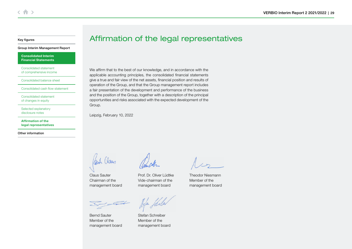#### <span id="page-28-0"></span>[Group Interim Management Report](#page-4-0)

[Consolidated Interim](#page-14-0)  Financial Statements

Consolidated statement [of comprehensive income](#page-15-0)

[Consolidated balance sheet](#page-16-0)

[Consolidated cash flow statement](#page-18-0)

[Consolidated statement](#page-20-0)  of changes in equity

[Selected explanatory](#page-21-0)  disclosure notes

Affirmation of the legal representatives

[Other information](#page-29-0)

Affirmation of the legal representatives

We affirm that to the best of our knowledge, and in accordance with the applicable accounting principles, the consolidated financial statements give a true and fair view of the net assets, financial position and results of operation of the Group, and that the Group management report includes a fair presentation of the development and performance of the business and the position of the Group, together with a description of the principal opportunities and risks associated with the expected development of the Group.

Leipzig, February 10, 2022

Claus Sauter Chairman of the management board

Prof. Dr. Oliver Lüdtke Vide-chairman of the

management board

Theodor Niesmann Member of the management board

<u>EL</u>

Bernd Sauter Member of the management board

Jefa flick

Stefan Schreiber Member of the management board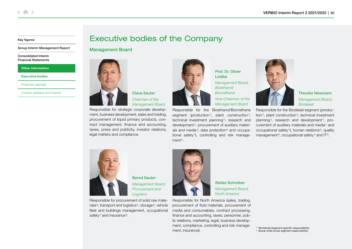<span id="page-29-0"></span>[Group Interim Management Report](#page-4-0)

[Consolidated Interim](#page-14-0)  Financial Statements

Other information

Executive bodies

[Financial calendar](#page-31-0)

[Contact address and imprint](#page-31-0)

## Executive bodies of the Company

## Management Board



Responsible for strategic corporate development, business development, sales and trading, procurement of liquid primary products, contract management, finance and accounting, taxes, press and publicity, investor relations, legal matters and compliance.



Prof. Dr. Oliver Lüdtke

Management Board, Bioethanol/ Biomethane Vice-Chairman of the

Management Board

Responsible for the Bioethanol/Biomethane segment (production<sup>1)</sup>, plant construction<sup>1)</sup>, technical investment planning<sup>1)</sup>, research and development<sup>1)</sup>, procurement of auxiliary materials and media<sup>1)</sup>, data protection<sup>2)</sup> and occupational safety<sup>1)</sup>, controlling and risk management2).



Theodor Niesmann Management Board, Biodiesel

Responsible for the Biodiesel segment (production<sup>1)</sup>, plant construction<sup>1)</sup>, technical investment planning<sup>1)</sup>, research and development<sup>1)</sup>, procurement of auxiliary materials and media<sup>1)</sup> and occupational safety<sup>1</sup>), human relations<sup>2</sup>, quality management<sup>2</sup>, occupational safety<sup>1)</sup> and  $|T^2|$ .



Bernd Sauter Management Board, Procurement and **Logistics** 

Responsible for procurement of solid raw materials<sup>2</sup>, transport and logistics<sup>2</sup>, storage<sup>2</sup>, vehicle fleet and buildings management, occupational safety<sup>1)</sup> and insurance<sup>2)</sup>.



Stefan Schreiber Management Board, North America

Responsible for North America (sales, trading, procurement of fluid materials, procurement of media and consumables, contract processing, finance and accounting, taxes, personnel, public relations, marketing, legal, business development, compliance, controlling and risk management, insurance).

1) Worldwide (segment-specific responsibility) 2) Group-wide (cross-segment responsibility)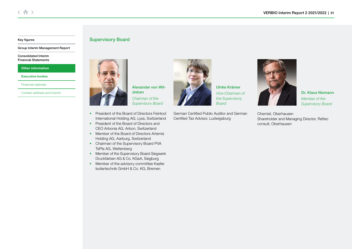[Group Interim Management Report](#page-4-0)

[Consolidated Interim](#page-14-0)  Financial Statements

[Other information](#page-29-0)

[Executive bodies](#page-29-0)

[Financial calendar](#page-31-0)

[Contact address and imprint](#page-31-0)



Supervisory Board

Alexander von Witzleben Chairman of the Supervisory Board

- President of the Board of Directors Feintool International Holding AG, Lyss, Switzerland
- President of the Board of Directors and CEO Arbonia AG, Arbon, Switzerland
- Member of the Board of Directors Artemis Holding AG, Aarburg, Switzerland
- Chairman of the Supervisory Board PVA TePla AG, Wettenberg
- Member of the Supervisory Board Siegwerk Druckfarben AG & Co. KGaA, Siegburg
- Member of the advisory committee Kaefer Isoliertechnik GmbH & Co. KG, Bremen



Ulrike Krämer Vice-Chairman of the Supervisory Board

German Certified Public Auditor and German Certified Tax Advisor, Ludwigsburg



Dr. Klaus Niemann Member of the Supervisory Board

Chemist, Oberhausen Shareholder and Managing Director, Reftec consult, Oberhausen